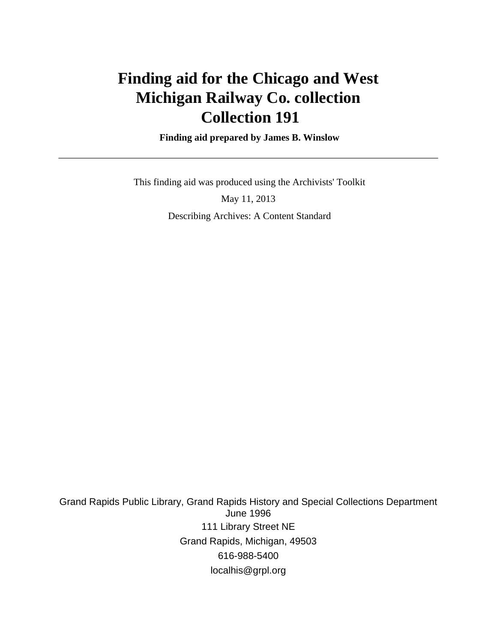# **Finding aid for the Chicago and West Michigan Railway Co. collection Collection 191**

 **Finding aid prepared by James B. Winslow**

This finding aid was produced using the Archivists' Toolkit

May 11, 2013 Describing Archives: A Content Standard

Grand Rapids Public Library, Grand Rapids History and Special Collections Department June 1996 111 Library Street NE Grand Rapids, Michigan, 49503 616-988-5400 localhis@grpl.org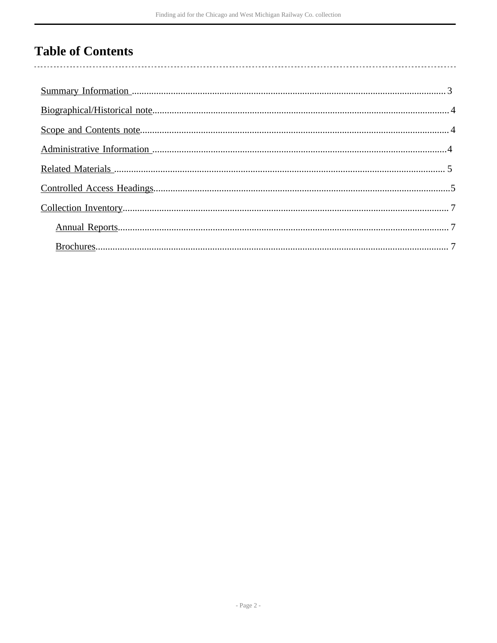## **Table of Contents**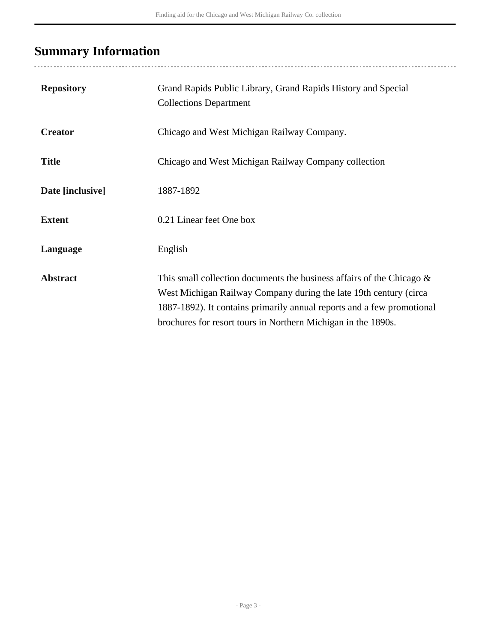## <span id="page-2-0"></span>**Summary Information**

| <b>Repository</b> | Grand Rapids Public Library, Grand Rapids History and Special<br><b>Collections Department</b>                                                                                                                                                                                           |
|-------------------|------------------------------------------------------------------------------------------------------------------------------------------------------------------------------------------------------------------------------------------------------------------------------------------|
| <b>Creator</b>    | Chicago and West Michigan Railway Company.                                                                                                                                                                                                                                               |
| <b>Title</b>      | Chicago and West Michigan Railway Company collection                                                                                                                                                                                                                                     |
| Date [inclusive]  | 1887-1892                                                                                                                                                                                                                                                                                |
| <b>Extent</b>     | 0.21 Linear feet One box                                                                                                                                                                                                                                                                 |
| Language          | English                                                                                                                                                                                                                                                                                  |
| <b>Abstract</b>   | This small collection documents the business affairs of the Chicago $\&$<br>West Michigan Railway Company during the late 19th century (circa<br>1887-1892). It contains primarily annual reports and a few promotional<br>brochures for resort tours in Northern Michigan in the 1890s. |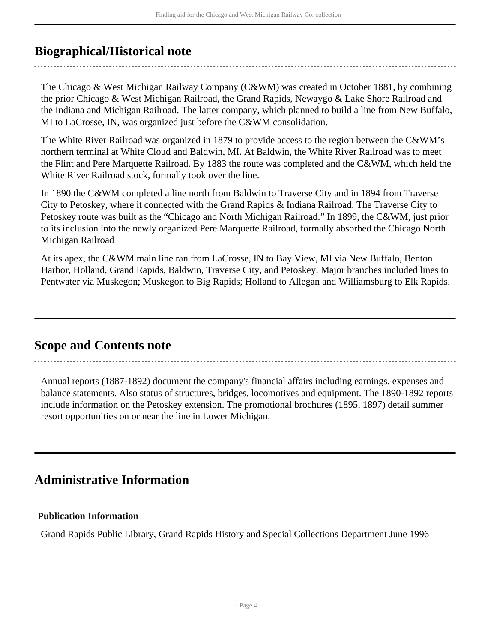### <span id="page-3-0"></span>**Biographical/Historical note**

The Chicago & West Michigan Railway Company (C&WM) was created in October 1881, by combining the prior Chicago & West Michigan Railroad, the Grand Rapids, Newaygo & Lake Shore Railroad and the Indiana and Michigan Railroad. The latter company, which planned to build a line from New Buffalo, MI to LaCrosse, IN, was organized just before the C&WM consolidation.

The White River Railroad was organized in 1879 to provide access to the region between the C&WM's northern terminal at White Cloud and Baldwin, MI. At Baldwin, the White River Railroad was to meet the Flint and Pere Marquette Railroad. By 1883 the route was completed and the C&WM, which held the White River Railroad stock, formally took over the line.

In 1890 the C&WM completed a line north from Baldwin to Traverse City and in 1894 from Traverse City to Petoskey, where it connected with the Grand Rapids & Indiana Railroad. The Traverse City to Petoskey route was built as the "Chicago and North Michigan Railroad." In 1899, the C&WM, just prior to its inclusion into the newly organized Pere Marquette Railroad, formally absorbed the Chicago North Michigan Railroad

At its apex, the C&WM main line ran from LaCrosse, IN to Bay View, MI via New Buffalo, Benton Harbor, Holland, Grand Rapids, Baldwin, Traverse City, and Petoskey. Major branches included lines to Pentwater via Muskegon; Muskegon to Big Rapids; Holland to Allegan and Williamsburg to Elk Rapids.

### <span id="page-3-1"></span>**Scope and Contents note**

Annual reports (1887-1892) document the company's financial affairs including earnings, expenses and balance statements. Also status of structures, bridges, locomotives and equipment. The 1890-1892 reports include information on the Petoskey extension. The promotional brochures (1895, 1897) detail summer resort opportunities on or near the line in Lower Michigan.

### <span id="page-3-2"></span>**Administrative Information**

**Publication Information**

Grand Rapids Public Library, Grand Rapids History and Special Collections Department June 1996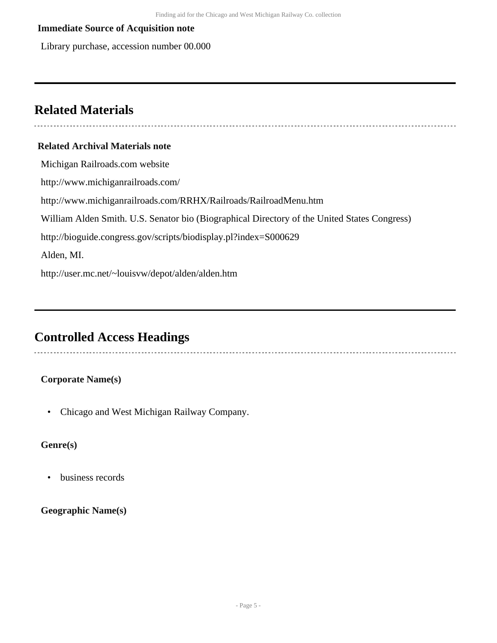#### **Immediate Source of Acquisition note**

Library purchase, accession number 00.000

### <span id="page-4-0"></span>**Related Materials**

#### **Related Archival Materials note**

Michigan Railroads.com website http://www.michiganrailroads.com/ http://www.michiganrailroads.com/RRHX/Railroads/RailroadMenu.htm William Alden Smith. U.S. Senator bio (Biographical Directory of the United States Congress) http://bioguide.congress.gov/scripts/biodisplay.pl?index=S000629 Alden, MI. http://user.mc.net/~louisvw/depot/alden/alden.htm

## <span id="page-4-1"></span>**Controlled Access Headings**

#### **Corporate Name(s)**

• Chicago and West Michigan Railway Company.

#### **Genre(s)**

• business records

#### **Geographic Name(s)**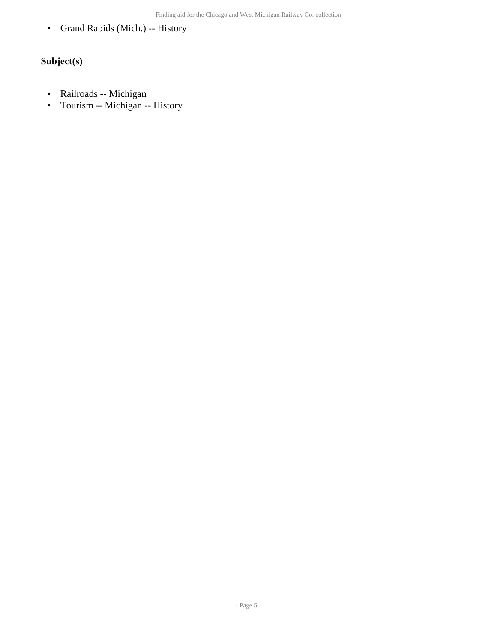• Grand Rapids (Mich.) -- History

### **Subject(s)**

- Railroads -- Michigan
- Tourism -- Michigan -- History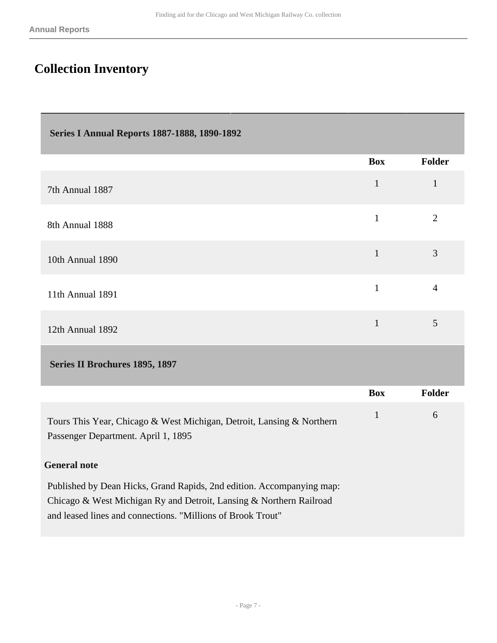Г

## <span id="page-6-0"></span>**Collection Inventory**

<span id="page-6-2"></span><span id="page-6-1"></span>

| <b>Series I Annual Reports 1887-1888, 1890-1892</b>                                                                                                                                                         |              |                |  |  |  |
|-------------------------------------------------------------------------------------------------------------------------------------------------------------------------------------------------------------|--------------|----------------|--|--|--|
|                                                                                                                                                                                                             | <b>Box</b>   | <b>Folder</b>  |  |  |  |
| 7th Annual 1887                                                                                                                                                                                             | $\mathbf{1}$ | 1              |  |  |  |
| 8th Annual 1888                                                                                                                                                                                             | $\mathbf{1}$ | 2              |  |  |  |
| 10th Annual 1890                                                                                                                                                                                            | $\mathbf{1}$ | $\overline{3}$ |  |  |  |
| 11th Annual 1891                                                                                                                                                                                            | $\mathbf{1}$ | $\overline{4}$ |  |  |  |
| 12th Annual 1892                                                                                                                                                                                            | $\mathbf{1}$ | 5              |  |  |  |
| Series II Brochures 1895, 1897                                                                                                                                                                              |              |                |  |  |  |
|                                                                                                                                                                                                             | <b>Box</b>   | <b>Folder</b>  |  |  |  |
| Tours This Year, Chicago & West Michigan, Detroit, Lansing & Northern<br>Passenger Department. April 1, 1895                                                                                                | $\mathbf{1}$ | 6              |  |  |  |
| <b>General note</b>                                                                                                                                                                                         |              |                |  |  |  |
| Published by Dean Hicks, Grand Rapids, 2nd edition. Accompanying map:<br>Chicago & West Michigan Ry and Detroit, Lansing & Northern Railroad<br>and leased lines and connections. "Millions of Brook Trout" |              |                |  |  |  |